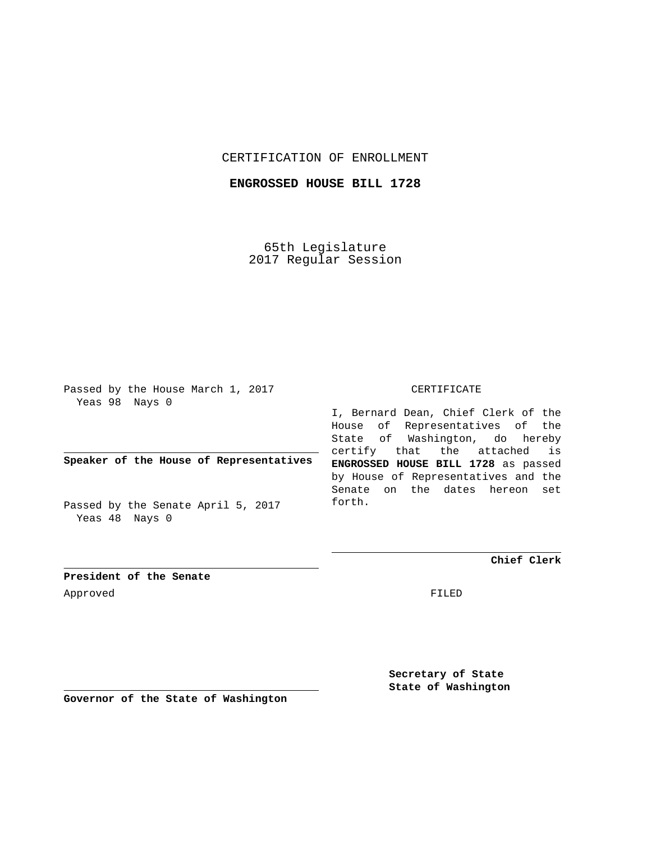## CERTIFICATION OF ENROLLMENT

## **ENGROSSED HOUSE BILL 1728**

65th Legislature 2017 Regular Session

Passed by the House March 1, 2017 Yeas 98 Nays 0

**Speaker of the House of Representatives**

Passed by the Senate April 5, 2017 Yeas 48 Nays 0

## CERTIFICATE

I, Bernard Dean, Chief Clerk of the House of Representatives of the State of Washington, do hereby certify that the attached is **ENGROSSED HOUSE BILL 1728** as passed by House of Representatives and the Senate on the dates hereon set forth.

**Chief Clerk**

**President of the Senate** Approved FILED

> **Secretary of State State of Washington**

**Governor of the State of Washington**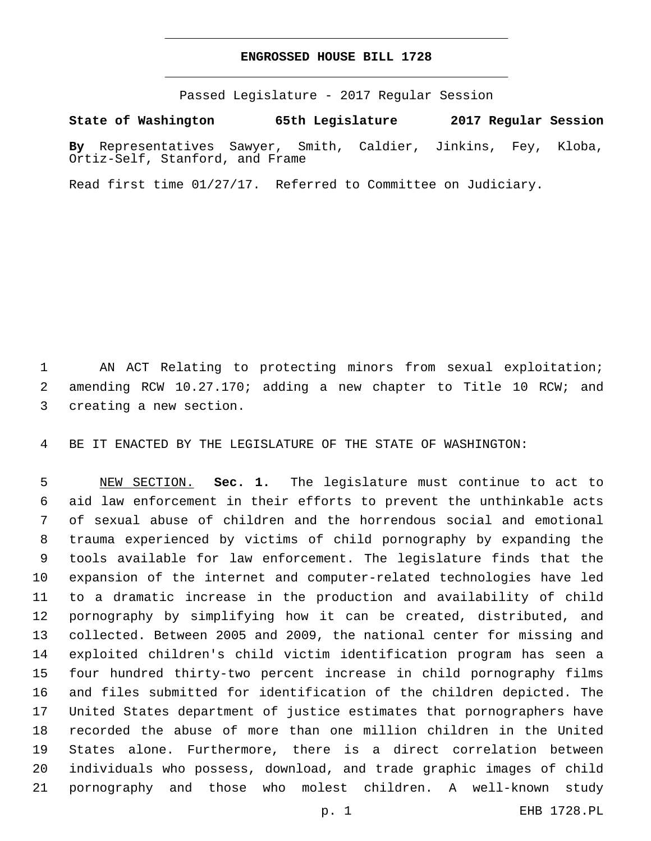## **ENGROSSED HOUSE BILL 1728**

Passed Legislature - 2017 Regular Session

**State of Washington 65th Legislature 2017 Regular Session**

**By** Representatives Sawyer, Smith, Caldier, Jinkins, Fey, Kloba, Ortiz-Self, Stanford, and Frame

Read first time 01/27/17. Referred to Committee on Judiciary.

 AN ACT Relating to protecting minors from sexual exploitation; amending RCW 10.27.170; adding a new chapter to Title 10 RCW; and 3 creating a new section.

BE IT ENACTED BY THE LEGISLATURE OF THE STATE OF WASHINGTON:

 NEW SECTION. **Sec. 1.** The legislature must continue to act to aid law enforcement in their efforts to prevent the unthinkable acts of sexual abuse of children and the horrendous social and emotional trauma experienced by victims of child pornography by expanding the tools available for law enforcement. The legislature finds that the expansion of the internet and computer-related technologies have led to a dramatic increase in the production and availability of child pornography by simplifying how it can be created, distributed, and collected. Between 2005 and 2009, the national center for missing and exploited children's child victim identification program has seen a four hundred thirty-two percent increase in child pornography films and files submitted for identification of the children depicted. The United States department of justice estimates that pornographers have recorded the abuse of more than one million children in the United States alone. Furthermore, there is a direct correlation between individuals who possess, download, and trade graphic images of child pornography and those who molest children. A well-known study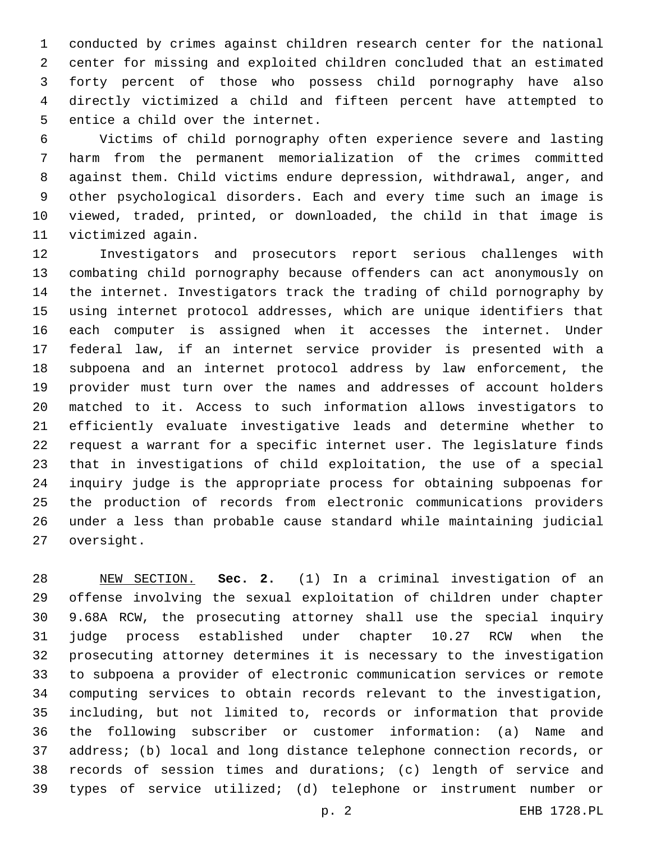conducted by crimes against children research center for the national center for missing and exploited children concluded that an estimated forty percent of those who possess child pornography have also directly victimized a child and fifteen percent have attempted to 5 entice a child over the internet.

 Victims of child pornography often experience severe and lasting harm from the permanent memorialization of the crimes committed against them. Child victims endure depression, withdrawal, anger, and other psychological disorders. Each and every time such an image is viewed, traded, printed, or downloaded, the child in that image is 11 victimized again.

 Investigators and prosecutors report serious challenges with combating child pornography because offenders can act anonymously on the internet. Investigators track the trading of child pornography by using internet protocol addresses, which are unique identifiers that each computer is assigned when it accesses the internet. Under federal law, if an internet service provider is presented with a subpoena and an internet protocol address by law enforcement, the provider must turn over the names and addresses of account holders matched to it. Access to such information allows investigators to efficiently evaluate investigative leads and determine whether to request a warrant for a specific internet user. The legislature finds that in investigations of child exploitation, the use of a special inquiry judge is the appropriate process for obtaining subpoenas for the production of records from electronic communications providers under a less than probable cause standard while maintaining judicial 27 oversight.

 NEW SECTION. **Sec. 2.** (1) In a criminal investigation of an offense involving the sexual exploitation of children under chapter 9.68A RCW, the prosecuting attorney shall use the special inquiry judge process established under chapter 10.27 RCW when the prosecuting attorney determines it is necessary to the investigation to subpoena a provider of electronic communication services or remote computing services to obtain records relevant to the investigation, including, but not limited to, records or information that provide the following subscriber or customer information: (a) Name and address; (b) local and long distance telephone connection records, or records of session times and durations; (c) length of service and types of service utilized; (d) telephone or instrument number or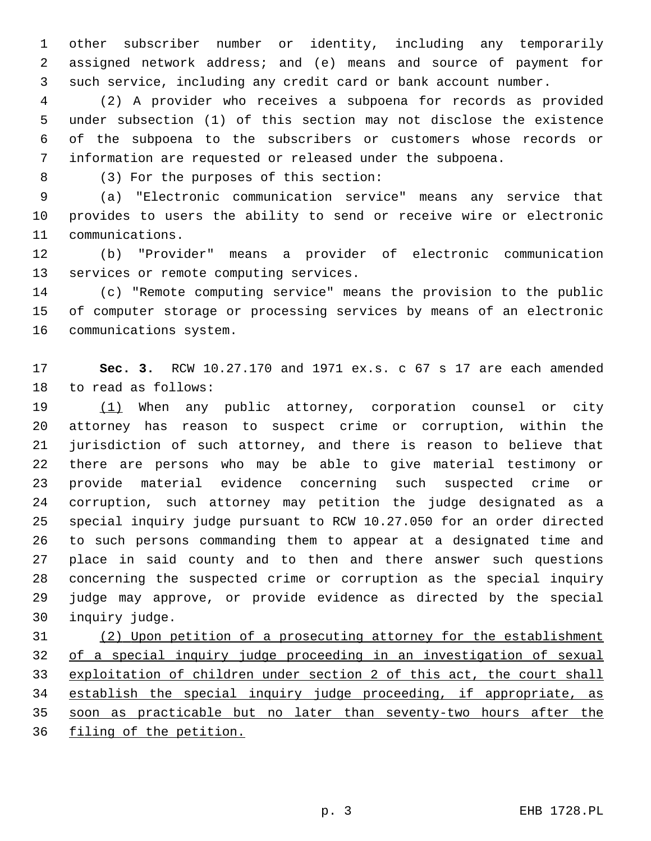other subscriber number or identity, including any temporarily assigned network address; and (e) means and source of payment for such service, including any credit card or bank account number.

 (2) A provider who receives a subpoena for records as provided under subsection (1) of this section may not disclose the existence of the subpoena to the subscribers or customers whose records or information are requested or released under the subpoena.

(3) For the purposes of this section:8

 (a) "Electronic communication service" means any service that provides to users the ability to send or receive wire or electronic 11 communications.

 (b) "Provider" means a provider of electronic communication 13 services or remote computing services.

 (c) "Remote computing service" means the provision to the public of computer storage or processing services by means of an electronic 16 communications system.

 **Sec. 3.** RCW 10.27.170 and 1971 ex.s. c 67 s 17 are each amended 18 to read as follows:

19 (1) When any public attorney, corporation counsel or city attorney has reason to suspect crime or corruption, within the jurisdiction of such attorney, and there is reason to believe that there are persons who may be able to give material testimony or provide material evidence concerning such suspected crime or corruption, such attorney may petition the judge designated as a special inquiry judge pursuant to RCW 10.27.050 for an order directed to such persons commanding them to appear at a designated time and place in said county and to then and there answer such questions concerning the suspected crime or corruption as the special inquiry judge may approve, or provide evidence as directed by the special 30 inquiry judge.

 (2) Upon petition of a prosecuting attorney for the establishment of a special inquiry judge proceeding in an investigation of sexual exploitation of children under section 2 of this act, the court shall 34 establish the special inquiry judge proceeding, if appropriate, as soon as practicable but no later than seventy-two hours after the filing of the petition.